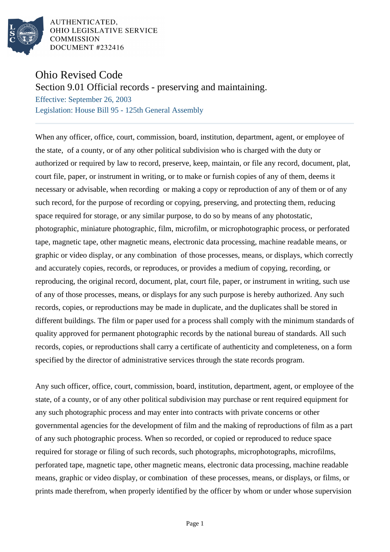

AUTHENTICATED, OHIO LEGISLATIVE SERVICE **COMMISSION** DOCUMENT #232416

## Ohio Revised Code

Section 9.01 Official records - preserving and maintaining.

Effective: September 26, 2003 Legislation: House Bill 95 - 125th General Assembly

When any officer, office, court, commission, board, institution, department, agent, or employee of the state, of a county, or of any other political subdivision who is charged with the duty or authorized or required by law to record, preserve, keep, maintain, or file any record, document, plat, court file, paper, or instrument in writing, or to make or furnish copies of any of them, deems it necessary or advisable, when recording or making a copy or reproduction of any of them or of any such record, for the purpose of recording or copying, preserving, and protecting them, reducing space required for storage, or any similar purpose, to do so by means of any photostatic, photographic, miniature photographic, film, microfilm, or microphotographic process, or perforated tape, magnetic tape, other magnetic means, electronic data processing, machine readable means, or graphic or video display, or any combination of those processes, means, or displays, which correctly and accurately copies, records, or reproduces, or provides a medium of copying, recording, or reproducing, the original record, document, plat, court file, paper, or instrument in writing, such use of any of those processes, means, or displays for any such purpose is hereby authorized. Any such records, copies, or reproductions may be made in duplicate, and the duplicates shall be stored in different buildings. The film or paper used for a process shall comply with the minimum standards of quality approved for permanent photographic records by the national bureau of standards. All such records, copies, or reproductions shall carry a certificate of authenticity and completeness, on a form specified by the director of administrative services through the state records program.

Any such officer, office, court, commission, board, institution, department, agent, or employee of the state, of a county, or of any other political subdivision may purchase or rent required equipment for any such photographic process and may enter into contracts with private concerns or other governmental agencies for the development of film and the making of reproductions of film as a part of any such photographic process. When so recorded, or copied or reproduced to reduce space required for storage or filing of such records, such photographs, microphotographs, microfilms, perforated tape, magnetic tape, other magnetic means, electronic data processing, machine readable means, graphic or video display, or combination of these processes, means, or displays, or films, or prints made therefrom, when properly identified by the officer by whom or under whose supervision